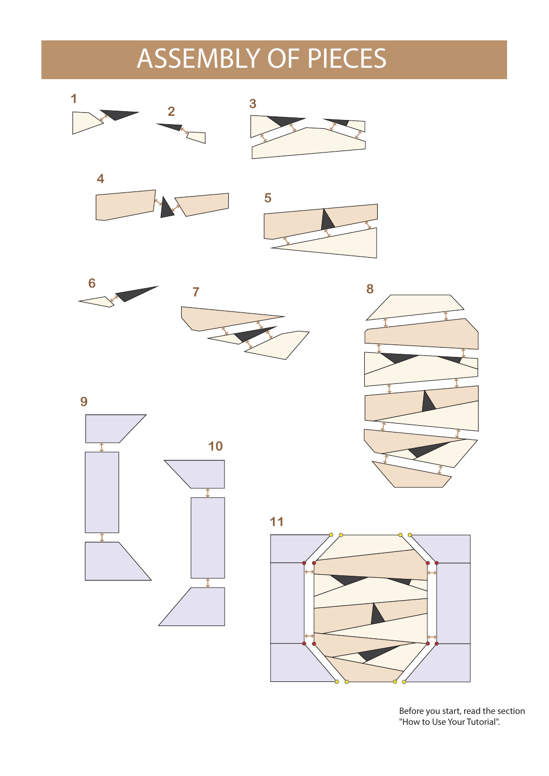## ASSEMBLY OF PIECES



Before you start, read the section "How to Use Your Tutorial".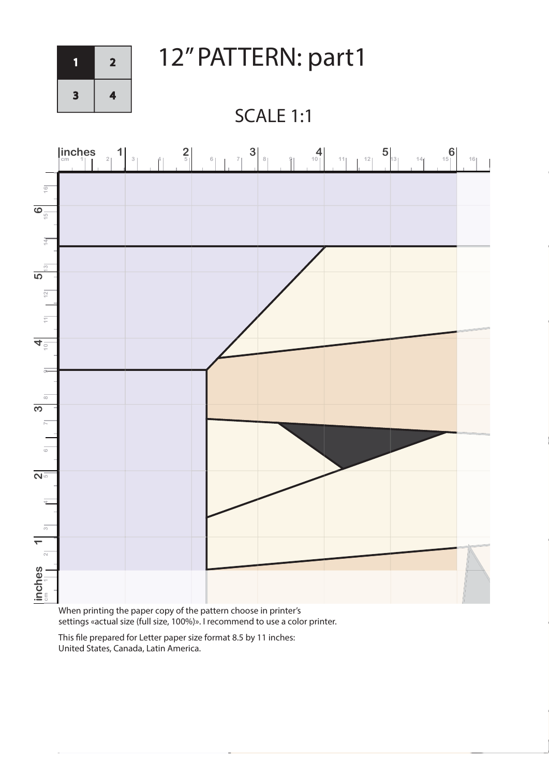

1 2 12" PATTERN: part1

SCALE 1:1



When printing the paper copy of the pattern choose in printer's settings «actual size (full size, 100%)». I recommend to use a color printer.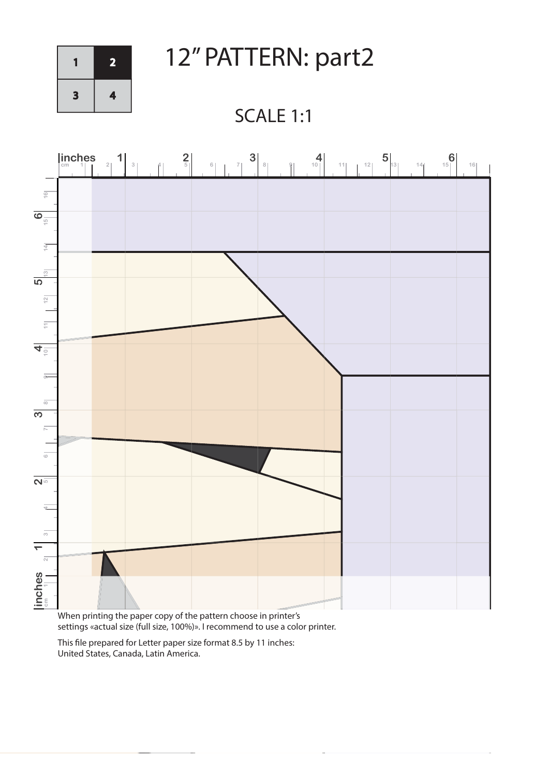

1 2 12" PATTERN: part2

## SCALE 1:1



When printing the paper copy of the pattern choose in printer's settings «actual size (full size, 100%)». I recommend to use a color printer.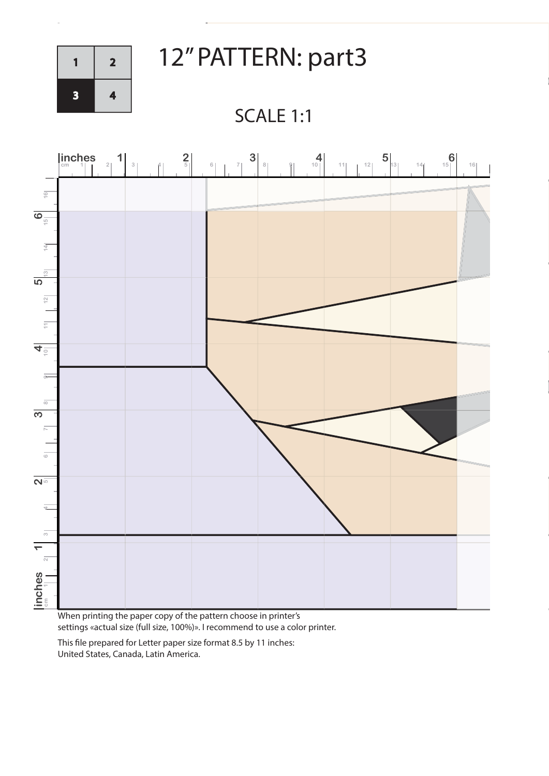

 $\overline{1}$  2 12" PATTERN: part3

SCALE 1:1



When printing the paper copy of the pattern choose in printer's settings «actual size (full size, 100%)». I recommend to use a color printer.